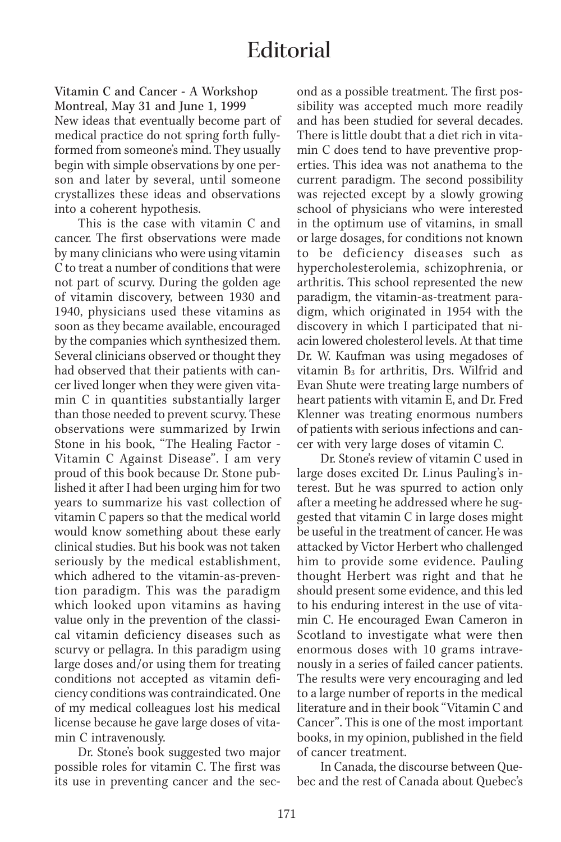## **Editorial**

Vitamin C and Cancer - A Workshop Montreal, May 31 and June 1, 1999 New ideas that eventually become part of medical practice do not spring forth fullyformed from someone's mind. They usually begin with simple observations by one person and later by several, until someone crystallizes these ideas and observations into a coherent hypothesis.

This is the case with vitamin C and cancer. The first observations were made by many clinicians who were using vitamin C to treat a number of conditions that were not part of scurvy. During the golden age of vitamin discovery, between 1930 and 1940, physicians used these vitamins as soon as they became available, encouraged by the companies which synthesized them. Several clinicians observed or thought they had observed that their patients with cancer lived longer when they were given vitamin C in quantities substantially larger than those needed to prevent scurvy. These observations were summarized by Irwin Stone in his book, "The Healing Factor - Vitamin C Against Disease". I am very proud of this book because Dr. Stone published it after I had been urging him for two years to summarize his vast collection of vitamin C papers so that the medical world would know something about these early clinical studies. But his book was not taken seriously by the medical establishment, which adhered to the vitamin-as-prevention paradigm. This was the paradigm which looked upon vitamins as having value only in the prevention of the classical vitamin deficiency diseases such as scurvy or pellagra. In this paradigm using large doses and/or using them for treating conditions not accepted as vitamin deficiency conditions was contraindicated. One of my medical colleagues lost his medical license because he gave large doses of vitamin C intravenously.

Dr. Stone's book suggested two major possible roles for vitamin C. The first was its use in preventing cancer and the second as a possible treatment. The first possibility was accepted much more readily and has been studied for several decades. There is little doubt that a diet rich in vitamin C does tend to have preventive properties. This idea was not anathema to the current paradigm. The second possibility was rejected except by a slowly growing school of physicians who were interested in the optimum use of vitamins, in small or large dosages, for conditions not known to be deficiency diseases such as hypercholesterolemia, schizophrenia, or arthritis. This school represented the new paradigm, the vitamin-as-treatment paradigm, which originated in 1954 with the discovery in which I participated that niacin lowered cholesterol levels. At that time Dr. W. Kaufman was using megadoses of vitamin B3 for arthritis, Drs. Wilfrid and Evan Shute were treating large numbers of heart patients with vitamin E, and Dr. Fred Klenner was treating enormous numbers of patients with serious infections and cancer with very large doses of vitamin C.

Dr. Stone's review of vitamin C used in large doses excited Dr. Linus Pauling's interest. But he was spurred to action only after a meeting he addressed where he suggested that vitamin C in large doses might be useful in the treatment of cancer. He was attacked by Victor Herbert who challenged him to provide some evidence. Pauling thought Herbert was right and that he should present some evidence, and this led to his enduring interest in the use of vitamin C. He encouraged Ewan Cameron in Scotland to investigate what were then enormous doses with 10 grams intravenously in a series of failed cancer patients. The results were very encouraging and led to a large number of reports in the medical literature and in their book "Vitamin C and Cancer". This is one of the most important books, in my opinion, published in the field of cancer treatment.

In Canada, the discourse between Quebec and the rest of Canada about Quebec's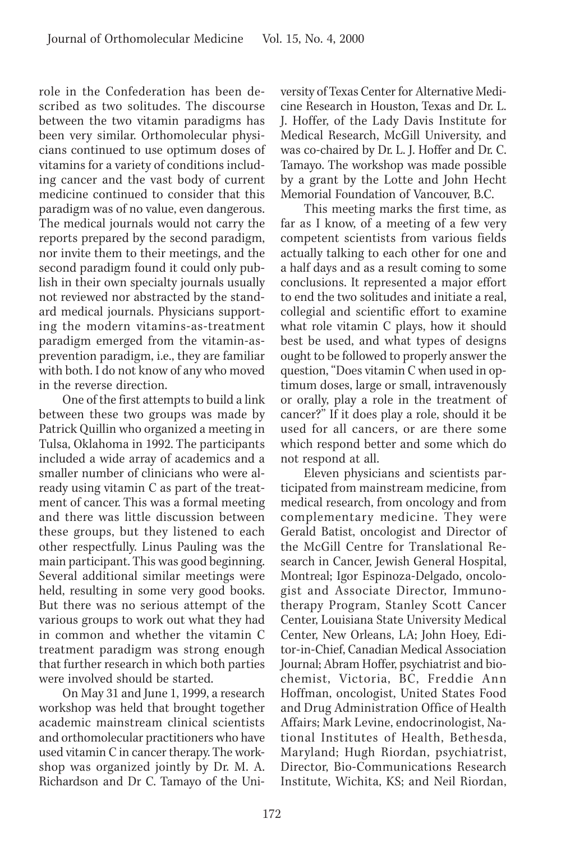role in the Confederation has been described as two solitudes. The discourse between the two vitamin paradigms has been very similar. Orthomolecular physicians continued to use optimum doses of vitamins for a variety of conditions including cancer and the vast body of current medicine continued to consider that this paradigm was of no value, even dangerous. The medical journals would not carry the reports prepared by the second paradigm, nor invite them to their meetings, and the second paradigm found it could only publish in their own specialty journals usually not reviewed nor abstracted by the standard medical journals. Physicians supporting the modern vitamins-as-treatment paradigm emerged from the vitamin-asprevention paradigm, i.e., they are familiar with both. I do not know of any who moved in the reverse direction.

One of the first attempts to build a link between these two groups was made by Patrick Quillin who organized a meeting in Tulsa, Oklahoma in 1992. The participants included a wide array of academics and a smaller number of clinicians who were already using vitamin C as part of the treatment of cancer. This was a formal meeting and there was little discussion between these groups, but they listened to each other respectfully. Linus Pauling was the main participant. This was good beginning. Several additional similar meetings were held, resulting in some very good books. But there was no serious attempt of the various groups to work out what they had in common and whether the vitamin C treatment paradigm was strong enough that further research in which both parties were involved should be started.

On May 31 and June 1, 1999, a research workshop was held that brought together academic mainstream clinical scientists and orthomolecular practitioners who have used vitamin C in cancer therapy. The workshop was organized jointly by Dr. M. A. Richardson and Dr C. Tamayo of the University of Texas Center for Alternative Medicine Research in Houston, Texas and Dr. L. J. Hoffer, of the Lady Davis Institute for Medical Research, McGill University, and was co-chaired by Dr. L. J. Hoffer and Dr. C. Tamayo. The workshop was made possible by a grant by the Lotte and John Hecht Memorial Foundation of Vancouver, B.C.

This meeting marks the first time, as far as I know, of a meeting of a few very competent scientists from various fields actually talking to each other for one and a half days and as a result coming to some conclusions. It represented a major effort to end the two solitudes and initiate a real, collegial and scientific effort to examine what role vitamin C plays, how it should best be used, and what types of designs ought to be followed to properly answer the question, "Does vitamin C when used in optimum doses, large or small, intravenously or orally, play a role in the treatment of cancer?" If it does play a role, should it be used for all cancers, or are there some which respond better and some which do not respond at all.

Eleven physicians and scientists participated from mainstream medicine, from medical research, from oncology and from complementary medicine. They were Gerald Batist, oncologist and Director of the McGill Centre for Translational Research in Cancer, Jewish General Hospital, Montreal; Igor Espinoza-Delgado, oncologist and Associate Director, Immunotherapy Program, Stanley Scott Cancer Center, Louisiana State University Medical Center, New Orleans, LA; John Hoey, Editor-in-Chief, Canadian Medical Association Journal; Abram Hoffer, psychiatrist and biochemist, Victoria, BC, Freddie Ann Hoffman, oncologist, United States Food and Drug Administration Office of Health Affairs; Mark Levine, endocrinologist, National Institutes of Health, Bethesda, Maryland; Hugh Riordan, psychiatrist, Director, Bio-Communications Research Institute, Wichita, KS; and Neil Riordan,